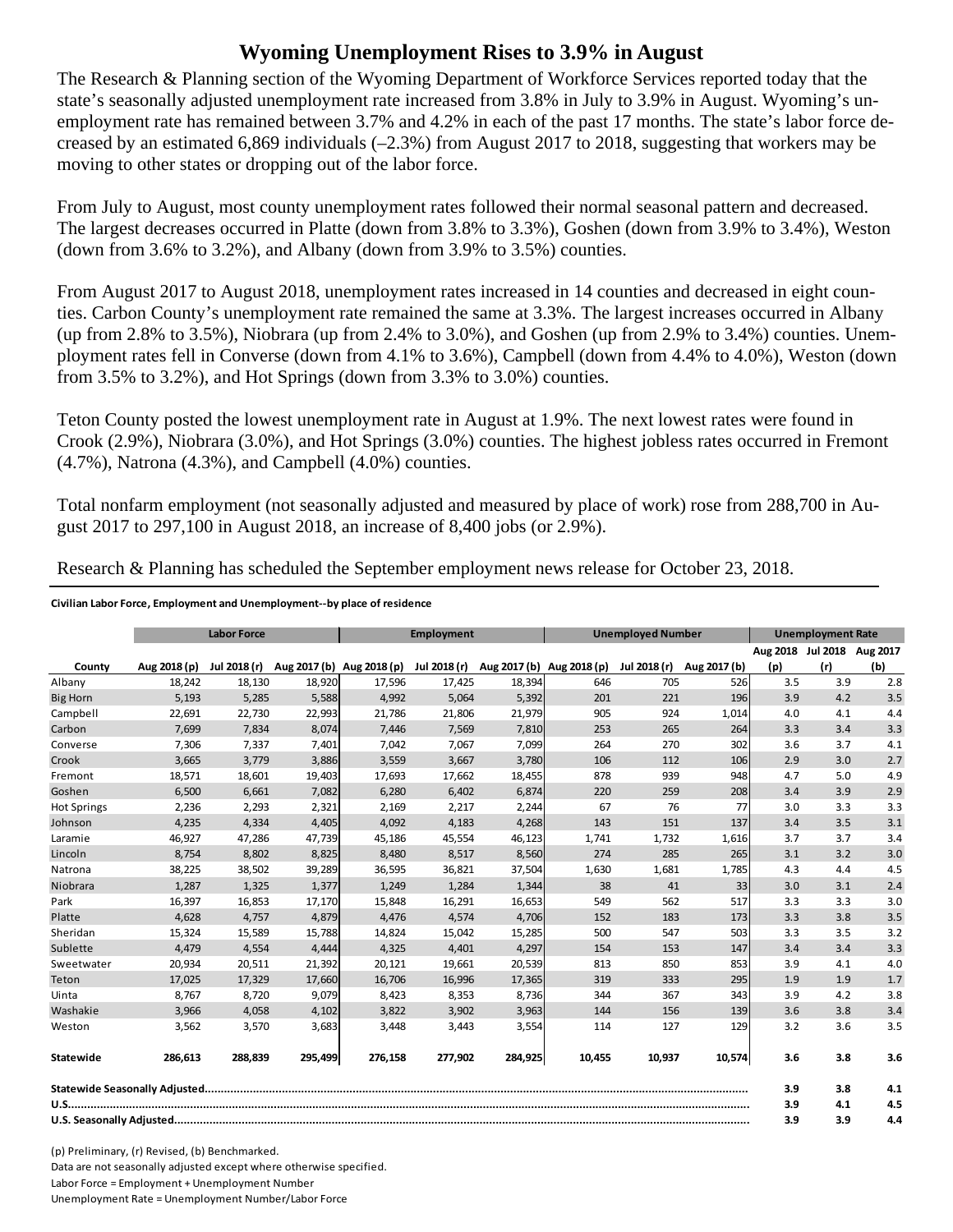## **Wyoming Unemployment Rises to 3.9% in August**

The Research & Planning section of the Wyoming Department of Workforce Services reported today that the state's seasonally adjusted unemployment rate increased from 3.8% in July to 3.9% in August. Wyoming's unemployment rate has remained between 3.7% and 4.2% in each of the past 17 months. The state's labor force decreased by an estimated 6,869 individuals (–2.3%) from August 2017 to 2018, suggesting that workers may be moving to other states or dropping out of the labor force.

From July to August, most county unemployment rates followed their normal seasonal pattern and decreased. The largest decreases occurred in Platte (down from 3.8% to 3.3%), Goshen (down from 3.9% to 3.4%), Weston (down from  $3.6\%$  to  $3.2\%$ ), and Albany (down from  $3.9\%$  to  $3.5\%$ ) counties.

From August 2017 to August 2018, unemployment rates increased in 14 counties and decreased in eight counties. Carbon County's unemployment rate remained the same at 3.3%. The largest increases occurred in Albany (up from 2.8% to 3.5%), Niobrara (up from 2.4% to 3.0%), and Goshen (up from 2.9% to 3.4%) counties. Unemployment rates fell in Converse (down from 4.1% to 3.6%), Campbell (down from 4.4% to 4.0%), Weston (down from 3.5% to 3.2%), and Hot Springs (down from 3.3% to 3.0%) counties.

Teton County posted the lowest unemployment rate in August at 1.9%. The next lowest rates were found in Crook (2.9%), Niobrara (3.0%), and Hot Springs (3.0%) counties. The highest jobless rates occurred in Fremont (4.7%), Natrona (4.3%), and Campbell (4.0%) counties.

Total nonfarm employment (not seasonally adjusted and measured by place of work) rose from 288,700 in August 2017 to 297,100 in August 2018, an increase of 8,400 jobs (or 2.9%).

|                    | <b>Labor Force</b> |              |         | <b>Employment</b>         |              |         | <b>Unemployed Number</b>  |              |              | <b>Unemployment Rate</b>   |     |     |
|--------------------|--------------------|--------------|---------|---------------------------|--------------|---------|---------------------------|--------------|--------------|----------------------------|-----|-----|
|                    |                    |              |         |                           |              |         |                           |              |              | Aug 2018 Jul 2018 Aug 2017 |     |     |
| County             | Aug 2018 (p)       | Jul 2018 (r) |         | Aug 2017 (b) Aug 2018 (p) | Jul 2018 (r) |         | Aug 2017 (b) Aug 2018 (p) | Jul 2018 (r) | Aug 2017 (b) | (p)                        | (r) | (b) |
| Albany             | 18,242             | 18,130       | 18,920  | 17,596                    | 17,425       | 18,394  | 646                       | 705          | 526          | 3.5                        | 3.9 | 2.8 |
| <b>Big Horn</b>    | 5,193              | 5,285        | 5,588   | 4,992                     | 5,064        | 5,392   | 201                       | 221          | 196          | 3.9                        | 4.2 | 3.5 |
| Campbell           | 22,691             | 22,730       | 22,993  | 21,786                    | 21,806       | 21,979  | 905                       | 924          | 1,014        | 4.0                        | 4.1 | 4.4 |
| Carbon             | 7,699              | 7,834        | 8,074   | 7,446                     | 7,569        | 7,810   | 253                       | 265          | 264          | 3.3                        | 3.4 | 3.3 |
| Converse           | 7,306              | 7,337        | 7,401   | 7,042                     | 7,067        | 7,099   | 264                       | 270          | 302          | 3.6                        | 3.7 | 4.1 |
| Crook              | 3,665              | 3,779        | 3,886   | 3,559                     | 3,667        | 3,780   | 106                       | 112          | 106          | 2.9                        | 3.0 | 2.7 |
| Fremont            | 18,571             | 18,601       | 19,403  | 17,693                    | 17,662       | 18,455  | 878                       | 939          | 948          | 4.7                        | 5.0 | 4.9 |
| Goshen             | 6,500              | 6,661        | 7,082   | 6,280                     | 6,402        | 6,874   | 220                       | 259          | 208          | 3.4                        | 3.9 | 2.9 |
| <b>Hot Springs</b> | 2,236              | 2,293        | 2,321   | 2,169                     | 2,217        | 2,244   | 67                        | 76           | 77           | 3.0                        | 3.3 | 3.3 |
| Johnson            | 4,235              | 4,334        | 4,405   | 4,092                     | 4,183        | 4,268   | 143                       | 151          | 137          | 3.4                        | 3.5 | 3.1 |
| Laramie            | 46,927             | 47,286       | 47,739  | 45,186                    | 45,554       | 46,123  | 1,741                     | 1,732        | 1,616        | 3.7                        | 3.7 | 3.4 |
| Lincoln            | 8,754              | 8,802        | 8,825   | 8,480                     | 8,517        | 8,560   | 274                       | 285          | 265          | 3.1                        | 3.2 | 3.0 |
| Natrona            | 38,225             | 38,502       | 39,289  | 36,595                    | 36,821       | 37,504  | 1,630                     | 1,681        | 1,785        | 4.3                        | 4.4 | 4.5 |
| Niobrara           | 1,287              | 1,325        | 1,377   | 1,249                     | 1,284        | 1,344   | 38                        | 41           | 33           | 3.0                        | 3.1 | 2.4 |
| Park               | 16,397             | 16,853       | 17,170  | 15,848                    | 16,291       | 16,653  | 549                       | 562          | 517          | 3.3                        | 3.3 | 3.0 |
| Platte             | 4.628              | 4,757        | 4,879   | 4.476                     | 4.574        | 4,706   | 152                       | 183          | 173          | 3.3                        | 3.8 | 3.5 |
| Sheridan           | 15,324             | 15,589       | 15,788  | 14,824                    | 15,042       | 15,285  | 500                       | 547          | 503          | 3.3                        | 3.5 | 3.2 |
| Sublette           | 4,479              | 4,554        | 4,444   | 4,325                     | 4,401        | 4,297   | 154                       | 153          | 147          | 3.4                        | 3.4 | 3.3 |
| Sweetwater         | 20,934             | 20,511       | 21,392  | 20,121                    | 19,661       | 20,539  | 813                       | 850          | 853          | 3.9                        | 4.1 | 4.0 |
| Teton              | 17,025             | 17,329       | 17,660  | 16,706                    | 16,996       | 17,365  | 319                       | 333          | 295          | 1.9                        | 1.9 | 1.7 |
| Uinta              | 8,767              | 8,720        | 9,079   | 8,423                     | 8,353        | 8,736   | 344                       | 367          | 343          | 3.9                        | 4.2 | 3.8 |
| Washakie           | 3,966              | 4,058        | 4,102   | 3,822                     | 3,902        | 3,963   | 144                       | 156          | 139          | 3.6                        | 3.8 | 3.4 |
| Weston             | 3,562              | 3,570        | 3,683   | 3,448                     | 3,443        | 3,554   | 114                       | 127          | 129          | 3.2                        | 3.6 | 3.5 |
| Statewide          | 286,613            | 288,839      | 295,499 | 276,158                   | 277,902      | 284,925 | 10,455                    | 10,937       | 10,574       | 3.6                        | 3.8 | 3.6 |
|                    |                    |              |         |                           |              |         |                           | 3.9          | 3.8          | 4.1                        |     |     |
|                    |                    |              |         |                           |              |         |                           | 3.9          | 4.1          | 4.5                        |     |     |
|                    |                    |              |         |                           |              |         | 3.9                       | 3.9          | 4.4          |                            |     |     |

Research & Planning has scheduled the September employment news release for October 23, 2018.

## **Civilian Labor Force, Employment and Unemployment‐‐by place of residence**

(p) Preliminary, (r) Revised, (b) Benchmarked. Data are not seasonally adjusted except where otherwise specified. Labor Force = Employment + Unemployment Number Unemployment Rate = Unemployment Number/Labor Force